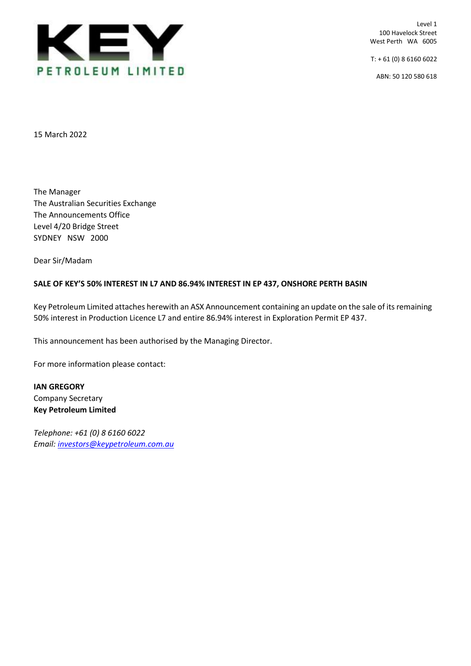

Level 1 100 Havelock Street West Perth WA 6005

 $T: +61(0)861606022$ 

ABN: 50 120 580 618

15 March 2022

The Manager The Australian Securities Exchange The Announcements Office Level 4/20 Bridge Street SYDNEY NSW 2000

Dear Sir/Madam

## **SALE OF KEY'S 50% INTEREST IN L7 AND 86.94% INTEREST IN EP 437, ONSHORE PERTH BASIN**

Key Petroleum Limited attaches herewith an ASX Announcement containing an update on the sale of its remaining 50% interest in Production Licence L7 and entire 86.94% interest in Exploration Permit EP 437.

This announcement has been authorised by the Managing Director.

For more information please contact:

**IAN GREGORY** Company Secretary **Key Petroleum Limited**

*Telephone: +61 (0) 8 6160 6022 Email: [investors@keypetroleum.com.au](mailto:investors@keypetroleum.com.au)*